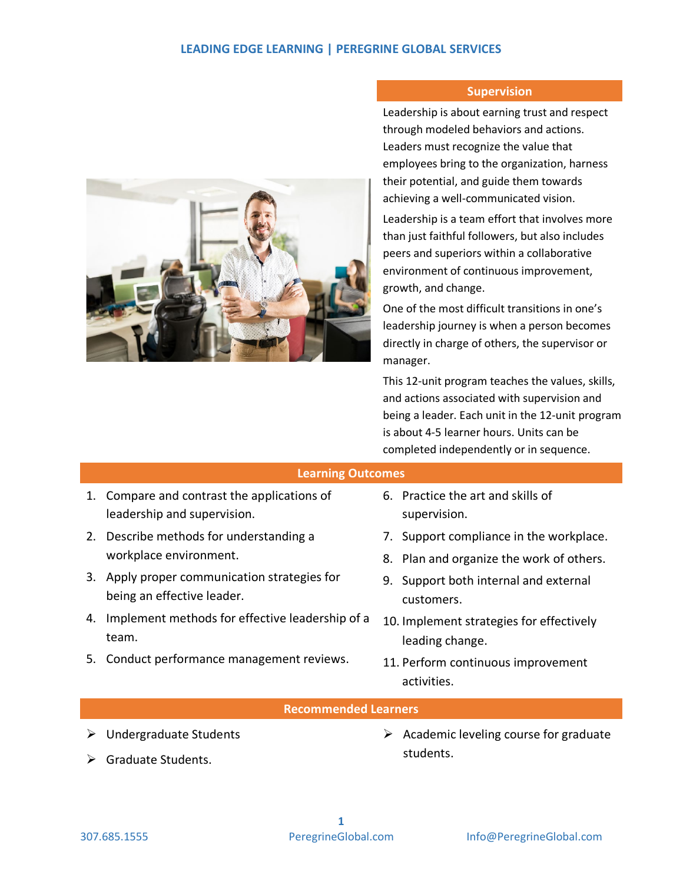## **LEADING EDGE LEARNING | PEREGRINE GLOBAL SERVICES**



### **Supervision**

Leadership is about earning trust and respect through modeled behaviors and actions. Leaders must recognize the value that employees bring to the organization, harness their potential, and guide them towards achieving a well-communicated vision.

Leadership is a team effort that involves more than just faithful followers, but also includes peers and superiors within a collaborative environment of continuous improvement, growth, and change.

One of the most difficult transitions in one's leadership journey is when a person becomes directly in charge of others, the supervisor or manager.

This 12-unit program teaches the values, skills, and actions associated with supervision and being a leader. Each unit in the 12-unit program is about 4-5 learner hours. Units can be completed independently or in sequence.

#### **Learning Outcomes**

- 1. Compare and contrast the applications of leadership and supervision.
- 2. Describe methods for understanding a workplace environment.
- 3. Apply proper communication strategies for being an effective leader.
- 4. Implement methods for effective leadership of a team.
- 5. Conduct performance management reviews.
- 6. Practice the art and skills of supervision.
- 7. Support compliance in the workplace.
- 8. Plan and organize the work of others.
- 9. Support both internal and external customers.
- 10. Implement strategies for effectively leading change.
- 11. Perform continuous improvement activities.

#### **Recommended Learners**

- $\triangleright$  Undergraduate Students
- **►** Graduate Students.

 $\triangleright$  Academic leveling course for graduate students.